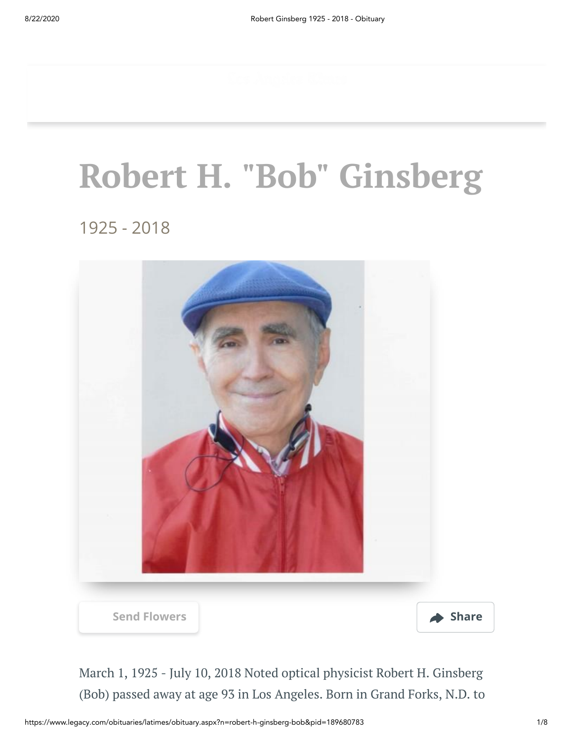# **Robert H. "Bob" Ginsberg**

1925 - 2018



March 1, 1925 - July 10, 2018 Noted optical physicist Robert H. Ginsberg (Bob) passed away at age 93 in Los Angeles. Born in Grand Forks, N.D. to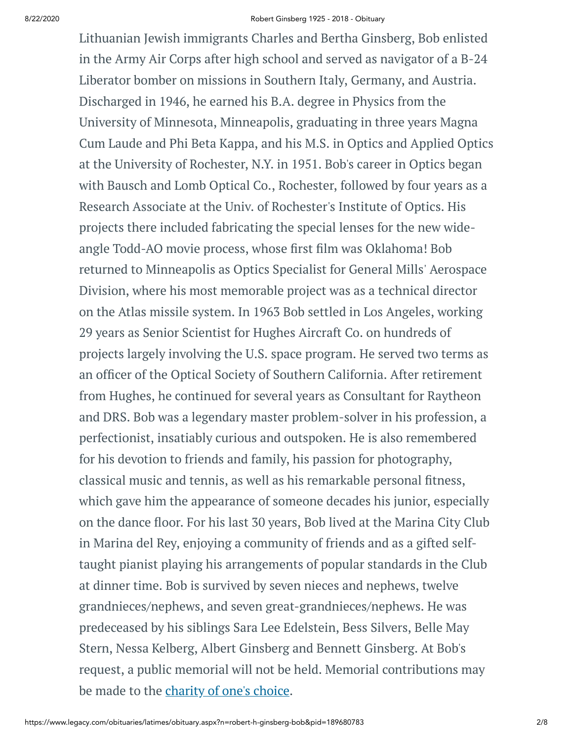#### 8/22/2020 Robert Ginsberg 1925 - 2018 - Obituary

Lithuanian Jewish immigrants Charles and Bertha Ginsberg, Bob enlisted in the Army Air Corps after high school and served as navigator of a B-24 Liberator bomber on missions in Southern Italy, Germany, and Austria. Discharged in 1946, he earned his B.A. degree in Physics from the University of Minnesota, Minneapolis, graduating in three years Magna Cum Laude and Phi Beta Kappa, and his M.S. in Optics and Applied Optics at the University of Rochester, N.Y. in 1951. Bob's career in Optics began with Bausch and Lomb Optical Co., Rochester, followed by four years as a Research Associate at the Univ. of Rochester's Institute of Optics. His projects there included fabricating the special lenses for the new wideangle Todd-AO movie process, whose first film was Oklahoma! Bob returned to Minneapolis as Optics Specialist for General Mills' Aerospace Division, where his most memorable project was as a technical director on the Atlas missile system. In 1963 Bob settled in Los Angeles, working 29 years as Senior Scientist for Hughes Aircraft Co. on hundreds of projects largely involving the U.S. space program. He served two terms as an officer of the Optical Society of Southern California. After retirement from Hughes, he continued for several years as Consultant for Raytheon and DRS. Bob was a legendary master problem-solver in his profession, a perfectionist, insatiably curious and outspoken. He is also remembered for his devotion to friends and family, his passion for photography, classical music and tennis, as well as his remarkable personal fitness, which gave him the appearance of someone decades his junior, especially on the dance floor. For his last 30 years, Bob lived at the Marina City Club in Marina del Rey, enjoying a community of friends and as a gifted selftaught pianist playing his arrangements of popular standards in the Club at dinner time. Bob is survived by seven nieces and nephews, twelve grandnieces/nephews, and seven great-grandnieces/nephews. He was predeceased by his siblings Sara Lee Edelstein, Bess Silvers, Belle May Stern, Nessa Kelberg, Albert Ginsberg and Bennett Ginsberg. At Bob's request, a public memorial will not be held. Memorial contributions may be made to the [charity](http://www.legacy.com/obituaries/LATimes/condolences-charities.aspx?keyword=coycalz&pid=189680783) of one's choice.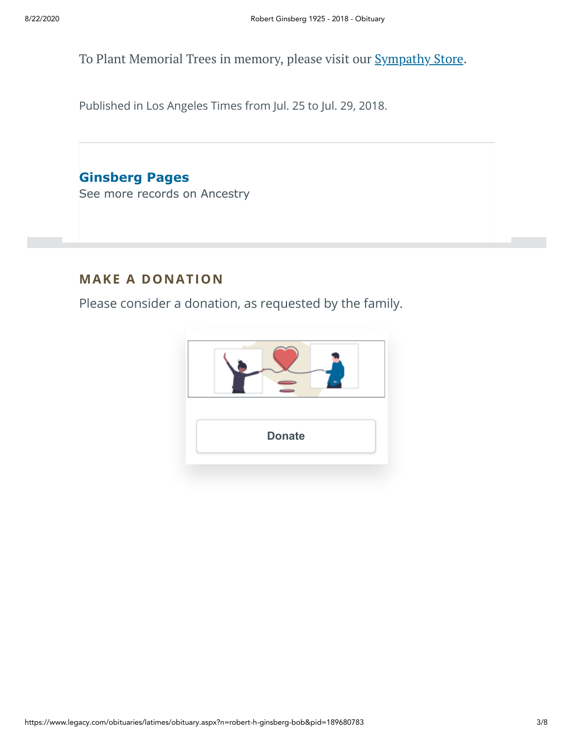To Plant Memorial Trees in memory, please visit our **[Sympathy](https://sympathy.legacy.com/en-us/funeral-flowers/name/robert-ginsberg-funeral-flowers/p189680783/?affiliateId=91&pm=240) Store**.

Published in Los Angeles Times from Jul. 25 to Jul. 29, 2018.

**Ginsberg Pages**

[See more records on Ancestry](https://adclick.g.doubleclick.net/pcs/click?xai=AKAOjsueOhtpzYa6e1b2P7mpbXAkg2wF-0czWXJbZOAvoE9DQ0iXzJOS-MpUTtNQOJbBDRCj8gh5njv2G9v2LRUz-z2Ci-hl737qnHRkWp8z5957SqxKPJGi3w09IFHCXBzDAJ4vZikBEDGuWWsLFV_AJ2QQSk9xcxoErKN7g3F0NGyrY2T1PGnqowQtHR5c8VeatpawbNWQYIK9Sv_-kewBK8z0EDoRYMnVl-SI-nLeaQOlQ3mUeDoS6tYtARbr2I_1J_UN2UxffxvIDkXu5-WXln8V8b5TStEUjJTIP21az5oqMTn575DFfw&sig=Cg0ArKJSzNHUyKNyhUPhEAE&urlfix=1&adurl=https://prf.hn/click/camref:1101l3yjc/adref:77841/destination:https://www.ancestry.com/cs/partner-records%3FflowId%3DpartnersBirth%26gsfn%3DRobert%26gsln%3DGinsberg)

### **MAKE A DONATION**

Please consider a donation, as requested by the family.

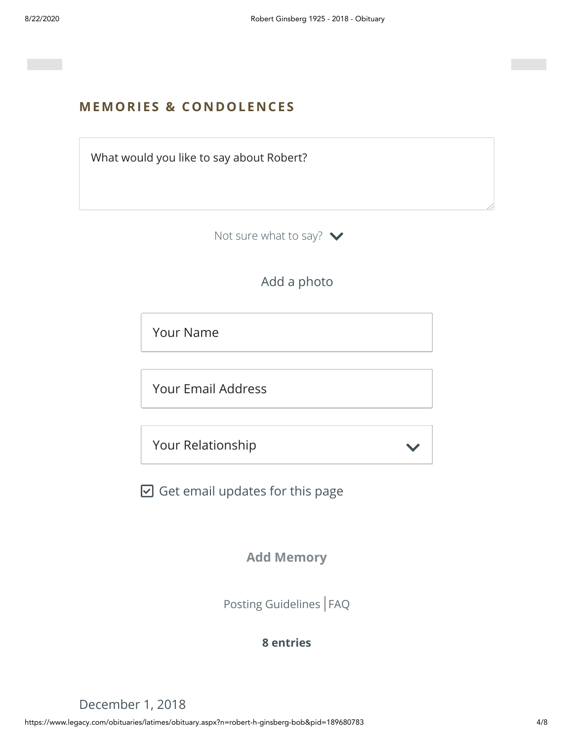#### **MEMORIES & CO N DOLE N CES**

What would you like to say about Robert?

Not sure what to say?  $\blacktriangleright$ 

Add a photo

Your Name

Your Email Address

Your Relationship

 $\boxdot$  Get email updates for this page

**Add Memory**

[Posting Guidelines](https://www.legacy.com/guestbooks/posting-guidelines.aspx?n=Robert-Ginsberg&pid=189680783) | [FAQ](https://www.legacy.com/guestbooks/faq.aspx?n=Robert-Ginsberg&pid=189680783)

#### **8 entries**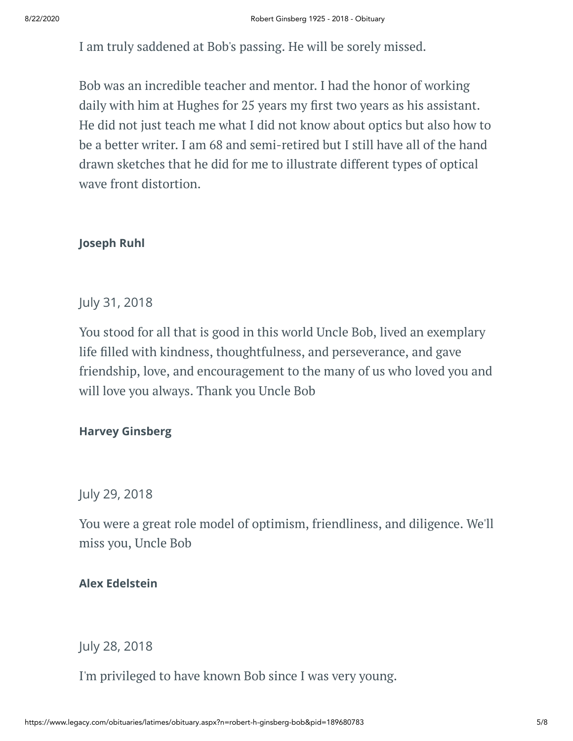I am truly saddened at Bob's passing. He will be sorely missed.

Bob was an incredible teacher and mentor. I had the honor of working daily with him at Hughes for 25 years my first two years as his assistant. He did not just teach me what I did not know about optics but also how to be a better writer. I am 68 and semi-retired but I still have all of the hand drawn sketches that he did for me to illustrate different types of optical wave front distortion.

#### **Joseph Ruhl**

July 31, 2018

You stood for all that is good in this world Uncle Bob, lived an exemplary life filled with kindness, thoughtfulness, and perseverance, and gave friendship, love, and encouragement to the many of us who loved you and will love you always. Thank you Uncle Bob

#### **Harvey Ginsberg**

July 29, 2018

You were a great role model of optimism, friendliness, and diligence. We'll miss you, Uncle Bob

#### **Alex Edelstein**

July 28, 2018

I'm privileged to have known Bob since I was very young.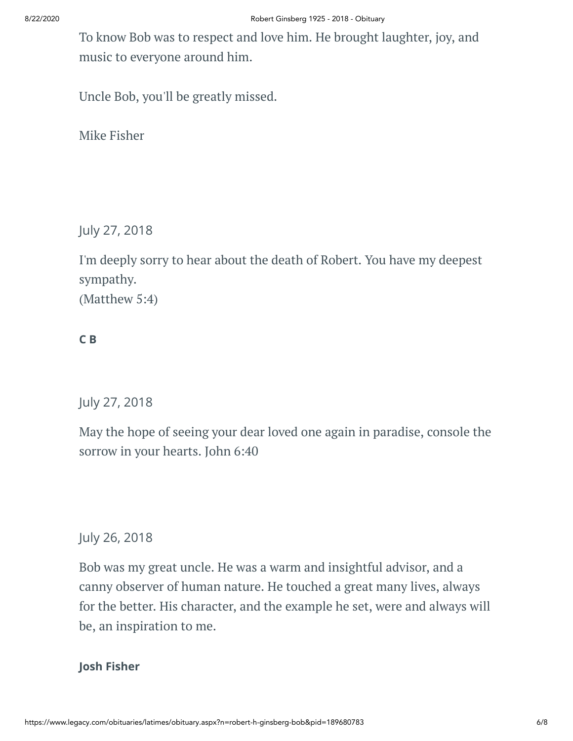To know Bob was to respect and love him. He brought laughter, joy, and music to everyone around him.

Uncle Bob, you'll be greatly missed.

Mike Fisher

July 27, 2018

I'm deeply sorry to hear about the death of Robert. You have my deepest sympathy. (Matthew 5:4)

#### **C B**

July 27, 2018

May the hope of seeing your dear loved one again in paradise, console the sorrow in your hearts. John 6:40

July 26, 2018

Bob was my great uncle. He was a warm and insightful advisor, and a canny observer of human nature. He touched a great many lives, always for the better. His character, and the example he set, were and always will be, an inspiration to me.

#### **Josh Fisher**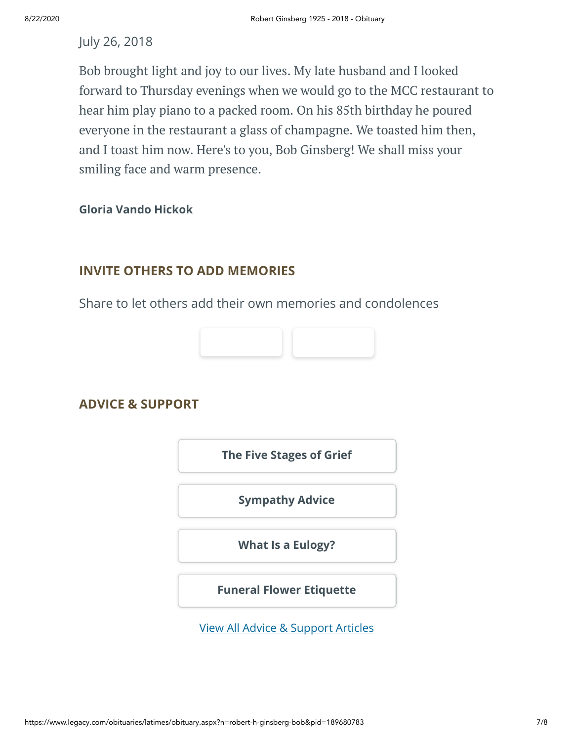#### July 26, 2018

Bob brought light and joy to our lives. My late husband and I looked forward to Thursday evenings when we would go to the MCC restaurant to hear him play piano to a packed room. On his 85th birthday he poured everyone in the restaurant a glass of champagne. We toasted him then, and I toast him now. Here's to you, Bob Ginsberg! We shall miss your smiling face and warm presence.

#### **Gloria Vando Hickok**

#### **INVITE OTHERS TO ADD MEMORIES**

Share to let others add their own memories and condolences



#### **ADVICE & SUPPORT**

**[The Five Stages of Grief](https://www.legacy.com/news/advice-and-support/article/the-five-stages-of-grief)**

**[Sympathy Advice](https://www.legacy.com/news/advice-and-support/article/sympathy-and-condolence-advice)**

**[What Is a Eulogy?](https://www.legacy.com/news/advice-and-support/article/what-is-a-eulogy)**

**[Funeral Flower Etiquette](https://sympathy.legacy.com//en-us/funeral-flowers/article/funeral-flower-etiquette/)**

[View All Advice & Support Articles](http://www.legacy.com/news/advice-and-support)